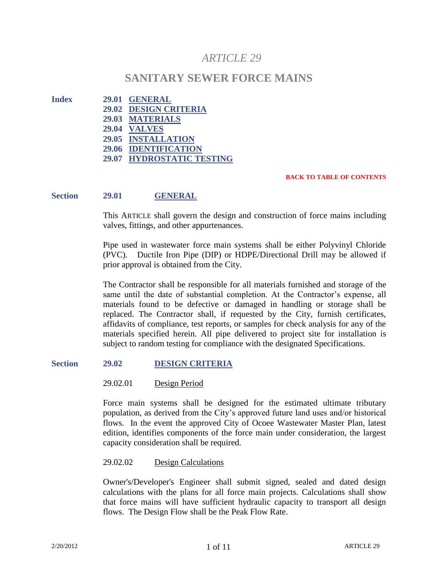# *ARTICLE 29*

# **SANITARY SEWER FORCE MAINS**

- **Index 29.01 GENERAL**
	- **29.02 DESIGN CRITERIA 29.03 MATERIALS 29.04 VALVES 29.05 INSTALLATION 29.06 IDENTIFICATION 29.07 HYDROSTATIC TESTING**

#### **BACK TO TABLE OF CONTENTS**

#### **Section 29.01 GENERAL**

This ARTICLE shall govern the design and construction of force mains including valves, fittings, and other appurtenances.

Pipe used in wastewater force main systems shall be either Polyvinyl Chloride (PVC). Ductile Iron Pipe (DIP) or HDPE/Directional Drill may be allowed if prior approval is obtained from the City.

The Contractor shall be responsible for all materials furnished and storage of the same until the date of substantial completion. At the Contractor's expense, all materials found to be defective or damaged in handling or storage shall be replaced. The Contractor shall, if requested by the City, furnish certificates, affidavits of compliance, test reports, or samples for check analysis for any of the materials specified herein. All pipe delivered to project site for installation is subject to random testing for compliance with the designated Specifications.

#### **Section 29.02 DESIGN CRITERIA**

29.02.01 Design Period

Force main systems shall be designed for the estimated ultimate tributary population, as derived from the City's approved future land uses and/or historical flows. In the event the approved City of Ocoee Wastewater Master Plan, latest edition, identifies components of the force main under consideration, the largest capacity consideration shall be required.

29.02.02 Design Calculations

Owner's/Developer's Engineer shall submit signed, sealed and dated design calculations with the plans for all force main projects. Calculations shall show that force mains will have sufficient hydraulic capacity to transport all design flows. The Design Flow shall be the Peak Flow Rate.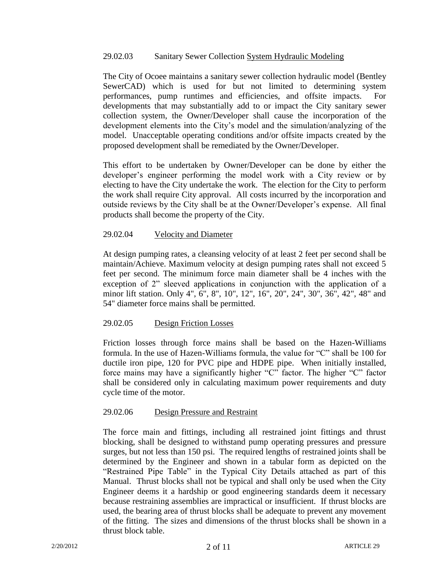### 29.02.03 Sanitary Sewer Collection System Hydraulic Modeling

The City of Ocoee maintains a sanitary sewer collection hydraulic model (Bentley SewerCAD) which is used for but not limited to determining system performances, pump runtimes and efficiencies, and offsite impacts. For developments that may substantially add to or impact the City sanitary sewer collection system, the Owner/Developer shall cause the incorporation of the development elements into the City's model and the simulation/analyzing of the model. Unacceptable operating conditions and/or offsite impacts created by the proposed development shall be remediated by the Owner/Developer.

This effort to be undertaken by Owner/Developer can be done by either the developer's engineer performing the model work with a City review or by electing to have the City undertake the work. The election for the City to perform the work shall require City approval. All costs incurred by the incorporation and outside reviews by the City shall be at the Owner/Developer's expense. All final products shall become the property of the City.

# 29.02.04 Velocity and Diameter

At design pumping rates, a cleansing velocity of at least 2 feet per second shall be maintain/Achieve. Maximum velocity at design pumping rates shall not exceed 5 feet per second. The minimum force main diameter shall be 4 inches with the exception of 2" sleeved applications in conjunction with the application of a minor lift station. Only 4", 6", 8", 10", 12", 16", 20", 24", 30", 36", 42", 48" and 54" diameter force mains shall be permitted.

# 29.02.05 Design Friction Losses

Friction losses through force mains shall be based on the Hazen-Williams formula. In the use of Hazen-Williams formula, the value for "C" shall be 100 for ductile iron pipe, 120 for PVC pipe and HDPE pipe. When initially installed, force mains may have a significantly higher "C" factor. The higher "C" factor shall be considered only in calculating maximum power requirements and duty cycle time of the motor.

### 29.02.06 Design Pressure and Restraint

The force main and fittings, including all restrained joint fittings and thrust blocking, shall be designed to withstand pump operating pressures and pressure surges, but not less than 150 psi. The required lengths of restrained joints shall be determined by the Engineer and shown in a tabular form as depicted on the "Restrained Pipe Table" in the Typical City Details attached as part of this Manual. Thrust blocks shall not be typical and shall only be used when the City Engineer deems it a hardship or good engineering standards deem it necessary because restraining assemblies are impractical or insufficient. If thrust blocks are used, the bearing area of thrust blocks shall be adequate to prevent any movement of the fitting. The sizes and dimensions of the thrust blocks shall be shown in a thrust block table.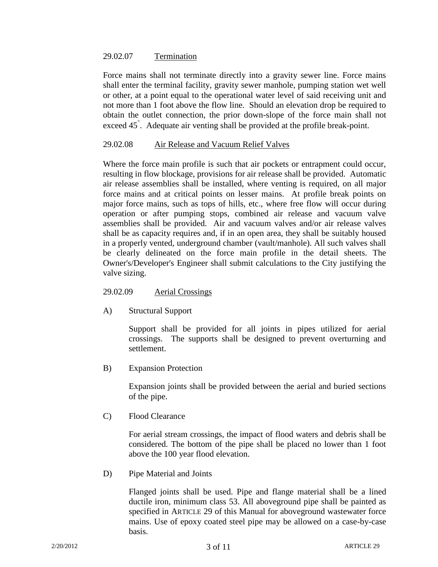#### 29.02.07 Termination

Force mains shall not terminate directly into a gravity sewer line. Force mains shall enter the terminal facility, gravity sewer manhole, pumping station wet well or other, at a point equal to the operational water level of said receiving unit and not more than 1 foot above the flow line. Should an elevation drop be required to obtain the outlet connection, the prior down-slope of the force main shall not exceed 45<sup>°</sup>. Adequate air venting shall be provided at the profile break-point.

### 29.02.08 Air Release and Vacuum Relief Valves

Where the force main profile is such that air pockets or entrapment could occur, resulting in flow blockage, provisions for air release shall be provided. Automatic air release assemblies shall be installed, where venting is required, on all major force mains and at critical points on lesser mains. At profile break points on major force mains, such as tops of hills, etc., where free flow will occur during operation or after pumping stops, combined air release and vacuum valve assemblies shall be provided. Air and vacuum valves and/or air release valves shall be as capacity requires and, if in an open area, they shall be suitably housed in a properly vented, underground chamber (vault/manhole). All such valves shall be clearly delineated on the force main profile in the detail sheets. The Owner's/Developer's Engineer shall submit calculations to the City justifying the valve sizing.

### 29.02.09 Aerial Crossings

A) Structural Support

Support shall be provided for all joints in pipes utilized for aerial crossings. The supports shall be designed to prevent overturning and settlement.

B) Expansion Protection

Expansion joints shall be provided between the aerial and buried sections of the pipe.

C) Flood Clearance

For aerial stream crossings, the impact of flood waters and debris shall be considered. The bottom of the pipe shall be placed no lower than 1 foot above the 100 year flood elevation.

D) Pipe Material and Joints

Flanged joints shall be used. Pipe and flange material shall be a lined ductile iron, minimum class 53. All aboveground pipe shall be painted as specified in ARTICLE 29 of this Manual for aboveground wastewater force mains. Use of epoxy coated steel pipe may be allowed on a case-by-case basis.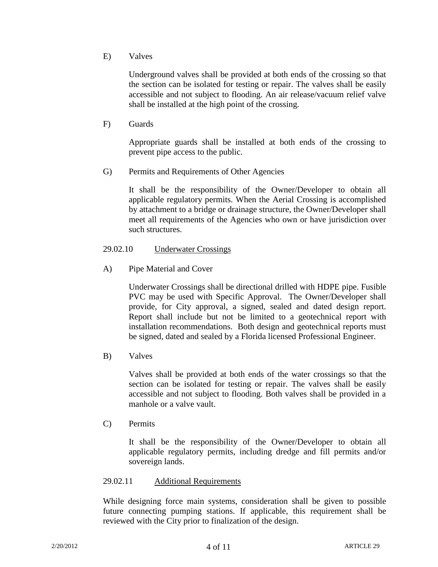E) Valves

Underground valves shall be provided at both ends of the crossing so that the section can be isolated for testing or repair. The valves shall be easily accessible and not subject to flooding. An air release/vacuum relief valve shall be installed at the high point of the crossing.

F) Guards

Appropriate guards shall be installed at both ends of the crossing to prevent pipe access to the public.

G) Permits and Requirements of Other Agencies

It shall be the responsibility of the Owner/Developer to obtain all applicable regulatory permits. When the Aerial Crossing is accomplished by attachment to a bridge or drainage structure, the Owner/Developer shall meet all requirements of the Agencies who own or have jurisdiction over such structures.

# 29.02.10 Underwater Crossings

A) Pipe Material and Cover

Underwater Crossings shall be directional drilled with HDPE pipe. Fusible PVC may be used with Specific Approval. The Owner/Developer shall provide, for City approval, a signed, sealed and dated design report. Report shall include but not be limited to a geotechnical report with installation recommendations. Both design and geotechnical reports must be signed, dated and sealed by a Florida licensed Professional Engineer.

B) Valves

Valves shall be provided at both ends of the water crossings so that the section can be isolated for testing or repair. The valves shall be easily accessible and not subject to flooding. Both valves shall be provided in a manhole or a valve vault.

C) Permits

It shall be the responsibility of the Owner/Developer to obtain all applicable regulatory permits, including dredge and fill permits and/or sovereign lands.

# 29.02.11 Additional Requirements

While designing force main systems, consideration shall be given to possible future connecting pumping stations. If applicable, this requirement shall be reviewed with the City prior to finalization of the design.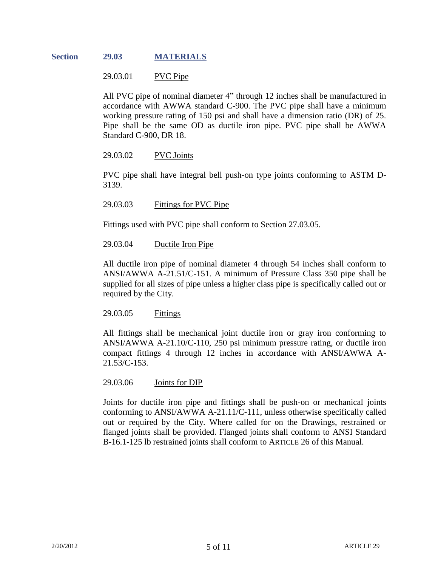### **Section 29.03 MATERIALS**

29.03.01 PVC Pipe

All PVC pipe of nominal diameter 4" through 12 inches shall be manufactured in accordance with AWWA standard C-900. The PVC pipe shall have a minimum working pressure rating of 150 psi and shall have a dimension ratio (DR) of 25. Pipe shall be the same OD as ductile iron pipe. PVC pipe shall be AWWA Standard C-900, DR 18.

### 29.03.02 PVC Joints

PVC pipe shall have integral bell push-on type joints conforming to ASTM D-3139.

29.03.03 Fittings for PVC Pipe

Fittings used with PVC pipe shall conform to Section 27.03.05.

29.03.04 Ductile Iron Pipe

All ductile iron pipe of nominal diameter 4 through 54 inches shall conform to ANSI/AWWA A-21.51/C-151. A minimum of Pressure Class 350 pipe shall be supplied for all sizes of pipe unless a higher class pipe is specifically called out or required by the City.

29.03.05 Fittings

All fittings shall be mechanical joint ductile iron or gray iron conforming to ANSI/AWWA A-21.10/C-110, 250 psi minimum pressure rating, or ductile iron compact fittings 4 through 12 inches in accordance with ANSI/AWWA A-21.53/C-153.

29.03.06 Joints for DIP

Joints for ductile iron pipe and fittings shall be push-on or mechanical joints conforming to ANSI/AWWA A-21.11/C-111, unless otherwise specifically called out or required by the City. Where called for on the Drawings, restrained or flanged joints shall be provided. Flanged joints shall conform to ANSI Standard B-16.1-125 lb restrained joints shall conform to ARTICLE 26 of this Manual.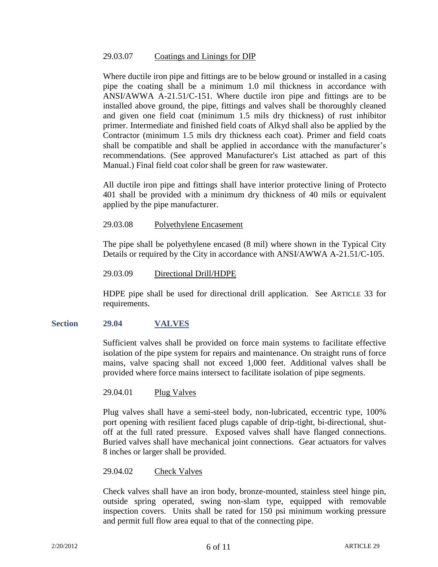### 29.03.07 Coatings and Linings for DIP

Where ductile iron pipe and fittings are to be below ground or installed in a casing pipe the coating shall be a minimum 1.0 mil thickness in accordance with ANSI/AWWA A-21.51/C-151. Where ductile iron pipe and fittings are to be installed above ground, the pipe, fittings and valves shall be thoroughly cleaned and given one field coat (minimum 1.5 mils dry thickness) of rust inhibitor primer. Intermediate and finished field coats of Alkyd shall also be applied by the Contractor (minimum 1.5 mils dry thickness each coat). Primer and field coats shall be compatible and shall be applied in accordance with the manufacturer's recommendations. (See approved Manufacturer's List attached as part of this Manual.) Final field coat color shall be green for raw wastewater.

All ductile iron pipe and fittings shall have interior protective lining of Protecto 401 shall be provided with a minimum dry thickness of 40 mils or equivalent applied by the pipe manufacturer.

29.03.08 Polyethylene Encasement

The pipe shall be polyethylene encased (8 mil) where shown in the Typical City Details or required by the City in accordance with ANSI/AWWA A-21.51/C-105.

### 29.03.09 Directional Drill/HDPE

HDPE pipe shall be used for directional drill application. See ARTICLE 33 for requirements.

### **Section 29.04 VALVES**

Sufficient valves shall be provided on force main systems to facilitate effective isolation of the pipe system for repairs and maintenance. On straight runs of force mains, valve spacing shall not exceed 1,000 feet. Additional valves shall be provided where force mains intersect to facilitate isolation of pipe segments.

29.04.01 Plug Valves

Plug valves shall have a semi-steel body, non-lubricated, eccentric type, 100% port opening with resilient faced plugs capable of drip-tight, bi-directional, shutoff at the full rated pressure. Exposed valves shall have flanged connections. Buried valves shall have mechanical joint connections. Gear actuators for valves 8 inches or larger shall be provided.

#### 29.04.02 Check Valves

Check valves shall have an iron body, bronze-mounted, stainless steel hinge pin, outside spring operated, swing non-slam type, equipped with removable inspection covers. Units shall be rated for 150 psi minimum working pressure and permit full flow area equal to that of the connecting pipe.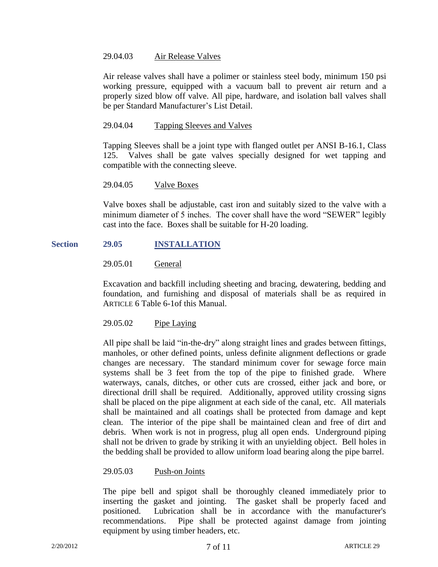### 29.04.03 Air Release Valves

Air release valves shall have a polimer or stainless steel body, minimum 150 psi working pressure, equipped with a vacuum ball to prevent air return and a properly sized blow off valve. All pipe, hardware, and isolation ball valves shall be per Standard Manufacturer's List Detail.

### 29.04.04 Tapping Sleeves and Valves

Tapping Sleeves shall be a joint type with flanged outlet per ANSI B-16.1, Class 125. Valves shall be gate valves specially designed for wet tapping and compatible with the connecting sleeve.

### 29.04.05 Valve Boxes

Valve boxes shall be adjustable, cast iron and suitably sized to the valve with a minimum diameter of 5 inches. The cover shall have the word "SEWER" legibly cast into the face. Boxes shall be suitable for H-20 loading.

# **Section 29.05 INSTALLATION**

# 29.05.01 General

Excavation and backfill including sheeting and bracing, dewatering, bedding and foundation, and furnishing and disposal of materials shall be as required in ARTICLE 6 Table 6-1of this Manual.

### 29.05.02 Pipe Laying

All pipe shall be laid "in-the-dry" along straight lines and grades between fittings, manholes, or other defined points, unless definite alignment deflections or grade changes are necessary. The standard minimum cover for sewage force main systems shall be 3 feet from the top of the pipe to finished grade. Where waterways, canals, ditches, or other cuts are crossed, either jack and bore, or directional drill shall be required. Additionally, approved utility crossing signs shall be placed on the pipe alignment at each side of the canal, etc. All materials shall be maintained and all coatings shall be protected from damage and kept clean. The interior of the pipe shall be maintained clean and free of dirt and debris. When work is not in progress, plug all open ends. Underground piping shall not be driven to grade by striking it with an unyielding object. Bell holes in the bedding shall be provided to allow uniform load bearing along the pipe barrel.

### 29.05.03 Push-on Joints

The pipe bell and spigot shall be thoroughly cleaned immediately prior to inserting the gasket and jointing. The gasket shall be properly faced and positioned. Lubrication shall be in accordance with the manufacturer's recommendations. Pipe shall be protected against damage from jointing equipment by using timber headers, etc.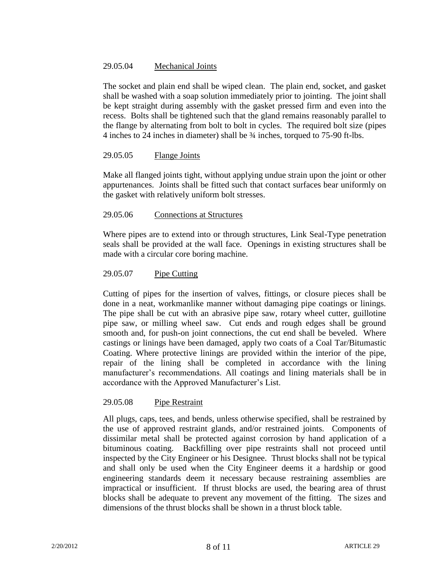# 29.05.04 Mechanical Joints

The socket and plain end shall be wiped clean. The plain end, socket, and gasket shall be washed with a soap solution immediately prior to jointing. The joint shall be kept straight during assembly with the gasket pressed firm and even into the recess. Bolts shall be tightened such that the gland remains reasonably parallel to the flange by alternating from bolt to bolt in cycles. The required bolt size (pipes 4 inches to 24 inches in diameter) shall be ¾ inches, torqued to 75-90 ft-lbs.

# 29.05.05 Flange Joints

Make all flanged joints tight, without applying undue strain upon the joint or other appurtenances. Joints shall be fitted such that contact surfaces bear uniformly on the gasket with relatively uniform bolt stresses.

# 29.05.06 Connections at Structures

Where pipes are to extend into or through structures, Link Seal-Type penetration seals shall be provided at the wall face. Openings in existing structures shall be made with a circular core boring machine.

# 29.05.07 Pipe Cutting

Cutting of pipes for the insertion of valves, fittings, or closure pieces shall be done in a neat, workmanlike manner without damaging pipe coatings or linings. The pipe shall be cut with an abrasive pipe saw, rotary wheel cutter, guillotine pipe saw, or milling wheel saw. Cut ends and rough edges shall be ground smooth and, for push-on joint connections, the cut end shall be beveled. Where castings or linings have been damaged, apply two coats of a Coal Tar/Bitumastic Coating. Where protective linings are provided within the interior of the pipe, repair of the lining shall be completed in accordance with the lining manufacturer's recommendations. All coatings and lining materials shall be in accordance with the Approved Manufacturer's List.

### 29.05.08 Pipe Restraint

All plugs, caps, tees, and bends, unless otherwise specified, shall be restrained by the use of approved restraint glands, and/or restrained joints. Components of dissimilar metal shall be protected against corrosion by hand application of a bituminous coating. Backfilling over pipe restraints shall not proceed until inspected by the City Engineer or his Designee. Thrust blocks shall not be typical and shall only be used when the City Engineer deems it a hardship or good engineering standards deem it necessary because restraining assemblies are impractical or insufficient. If thrust blocks are used, the bearing area of thrust blocks shall be adequate to prevent any movement of the fitting. The sizes and dimensions of the thrust blocks shall be shown in a thrust block table.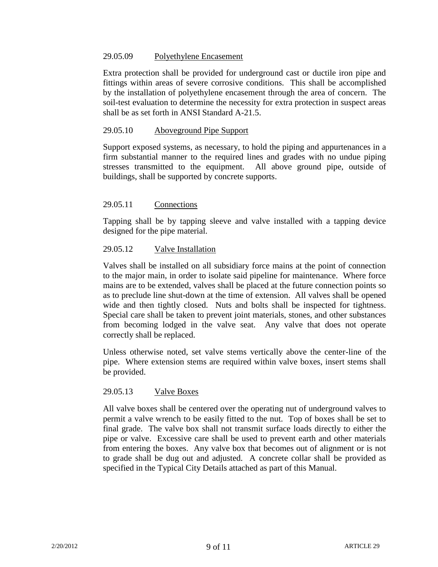### 29.05.09 Polyethylene Encasement

Extra protection shall be provided for underground cast or ductile iron pipe and fittings within areas of severe corrosive conditions. This shall be accomplished by the installation of polyethylene encasement through the area of concern. The soil-test evaluation to determine the necessity for extra protection in suspect areas shall be as set forth in ANSI Standard A-21.5.

### 29.05.10 Aboveground Pipe Support

Support exposed systems, as necessary, to hold the piping and appurtenances in a firm substantial manner to the required lines and grades with no undue piping stresses transmitted to the equipment. All above ground pipe, outside of buildings, shall be supported by concrete supports.

### 29.05.11 Connections

Tapping shall be by tapping sleeve and valve installed with a tapping device designed for the pipe material.

### 29.05.12 Valve Installation

Valves shall be installed on all subsidiary force mains at the point of connection to the major main, in order to isolate said pipeline for maintenance. Where force mains are to be extended, valves shall be placed at the future connection points so as to preclude line shut-down at the time of extension. All valves shall be opened wide and then tightly closed. Nuts and bolts shall be inspected for tightness. Special care shall be taken to prevent joint materials, stones, and other substances from becoming lodged in the valve seat. Any valve that does not operate correctly shall be replaced.

Unless otherwise noted, set valve stems vertically above the center-line of the pipe. Where extension stems are required within valve boxes, insert stems shall be provided.

### 29.05.13 Valve Boxes

All valve boxes shall be centered over the operating nut of underground valves to permit a valve wrench to be easily fitted to the nut. Top of boxes shall be set to final grade. The valve box shall not transmit surface loads directly to either the pipe or valve. Excessive care shall be used to prevent earth and other materials from entering the boxes. Any valve box that becomes out of alignment or is not to grade shall be dug out and adjusted. A concrete collar shall be provided as specified in the Typical City Details attached as part of this Manual.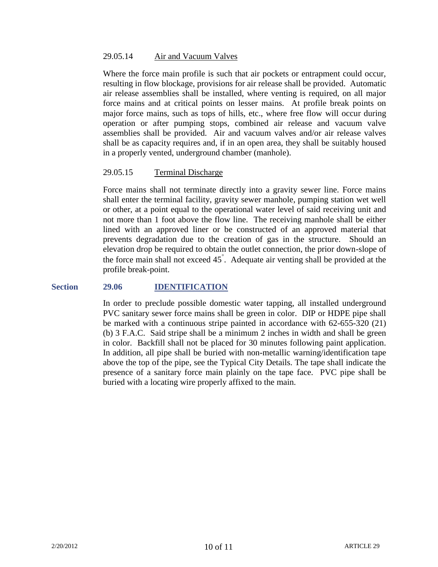### 29.05.14 Air and Vacuum Valves

Where the force main profile is such that air pockets or entrapment could occur, resulting in flow blockage, provisions for air release shall be provided. Automatic air release assemblies shall be installed, where venting is required, on all major force mains and at critical points on lesser mains. At profile break points on major force mains, such as tops of hills, etc., where free flow will occur during operation or after pumping stops, combined air release and vacuum valve assemblies shall be provided. Air and vacuum valves and/or air release valves shall be as capacity requires and, if in an open area, they shall be suitably housed in a properly vented, underground chamber (manhole).

### 29.05.15 Terminal Discharge

Force mains shall not terminate directly into a gravity sewer line. Force mains shall enter the terminal facility, gravity sewer manhole, pumping station wet well or other, at a point equal to the operational water level of said receiving unit and not more than 1 foot above the flow line. The receiving manhole shall be either lined with an approved liner or be constructed of an approved material that prevents degradation due to the creation of gas in the structure. Should an elevation drop be required to obtain the outlet connection, the prior down-slope of the force main shall not exceed  $45^{\degree}$ . Adequate air venting shall be provided at the profile break-point.

#### **Section 29.06 IDENTIFICATION**

In order to preclude possible domestic water tapping, all installed underground PVC sanitary sewer force mains shall be green in color. DIP or HDPE pipe shall be marked with a continuous stripe painted in accordance with 62-655-320 (21) (b) 3 F.A.C. Said stripe shall be a minimum 2 inches in width and shall be green in color. Backfill shall not be placed for 30 minutes following paint application. In addition, all pipe shall be buried with non-metallic warning/identification tape above the top of the pipe, see the Typical City Details. The tape shall indicate the presence of a sanitary force main plainly on the tape face. PVC pipe shall be buried with a locating wire properly affixed to the main.